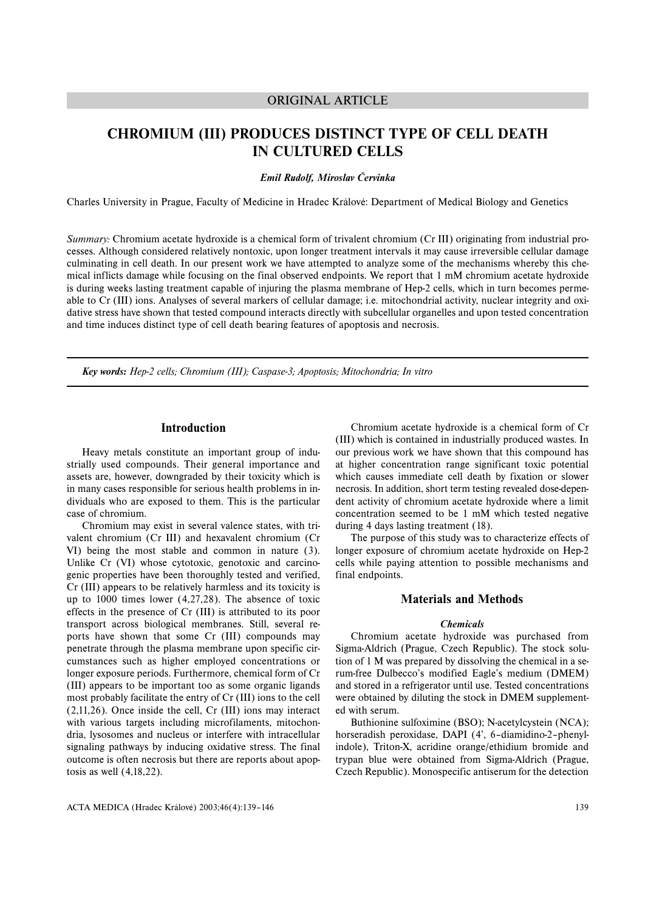## ORIGINAL ARTICLE

# **CHROMIUM (III) PRODUCES DISTINCT TYPE OF CELL DEATH IN CULTURED CELLS**

### *Emil Rudolf, Miroslav Červinka*

Charles University in Prague, Faculty of Medicine in Hradec Králové: Department of Medical Biology and Genetics

*Summary:* Chromium acetate hydroxide is a chemical form of trivalent chromium (Cr III) originating from industrial processes. Although considered relatively nontoxic, upon longer treatment intervals it may cause irreversible cellular damage culminating in cell death. In our present work we have attempted to analyze some of the mechanisms whereby this chemical inflicts damage while focusing on the final observed endpoints. We report that 1 mM chromium acetate hydroxide is during weeks lasting treatment capable of injuring the plasma membrane of Hep-2 cells, which in turn becomes permeable to Cr (III) ions. Analyses of several markers of cellular damage; i.e. mitochondrial activity, nuclear integrity and oxidative stress have shown that tested compound interacts directly with subcellular organelles and upon tested concentration and time induces distinct type of cell death bearing features of apoptosis and necrosis.

*Key words: Hep-2 cells; Chromium (III); Caspase-3; Apoptosis; Mitochondria; In vitro*

## **Introduction**

Heavy metals constitute an important group of industrially used compounds. Their general importance and assets are, however, downgraded by their toxicity which is in many cases responsible for serious health problems in individuals who are exposed to them. This is the particular case of chromium.

Chromium may exist in several valence states, with trivalent chromium (Cr III) and hexavalent chromium (Cr VI) being the most stable and common in nature (3). Unlike Cr (VI) whose cytotoxic, genotoxic and carcinogenic properties have been thoroughly tested and verified, Cr (III) appears to be relatively harmless and its toxicity is up to 1000 times lower (4,27,28). The absence of toxic effects in the presence of Cr (III) is attributed to its poor transport across biological membranes. Still, several reports have shown that some Cr (III) compounds may penetrate through the plasma membrane upon specific circumstances such as higher employed concentrations or longer exposure periods. Furthermore, chemical form of Cr (III) appears to be important too as some organic ligands most probably facilitate the entry of Cr (III) ions to the cell (2,11,26). Once inside the cell, Cr (III) ions may interact with various targets including microfilaments, mitochondria, lysosomes and nucleus or interfere with intracellular signaling pathways by inducing oxidative stress. The final outcome is often necrosis but there are reports about apoptosis as well (4,18,22).

Chromium acetate hydroxide is a chemical form of Cr (III) which is contained in industrially produced wastes. In our previous work we have shown that this compound has at higher concentration range significant toxic potential which causes immediate cell death by fixation or slower necrosis. In addition, short term testing revealed dose-dependent activity of chromium acetate hydroxide where a limit concentration seemed to be 1 mM which tested negative during 4 days lasting treatment (18).

The purpose of this study was to characterize effects of longer exposure of chromium acetate hydroxide on Hep-2 cells while paying attention to possible mechanisms and final endpoints.

## **Materials and Methods**

#### *Chemicals*

Chromium acetate hydroxide was purchased from Sigma-Aldrich (Prague, Czech Republic). The stock solution of 1 M was prepared by dissolving the chemical in a serum-free Dulbecco's modified Eagle's medium (DMEM) and stored in a refrigerator until use. Tested concentrations were obtained by diluting the stock in DMEM supplemented with serum.

Buthionine sulfoximine (BSO); N-acetylcystein (NCA); horseradish peroxidase, DAPI (4', 6–diamidino-2–phenylindole), Triton-X, acridine orange/ethidium bromide and trypan blue were obtained from Sigma-Aldrich (Prague, Czech Republic). Monospecific antiserum for the detection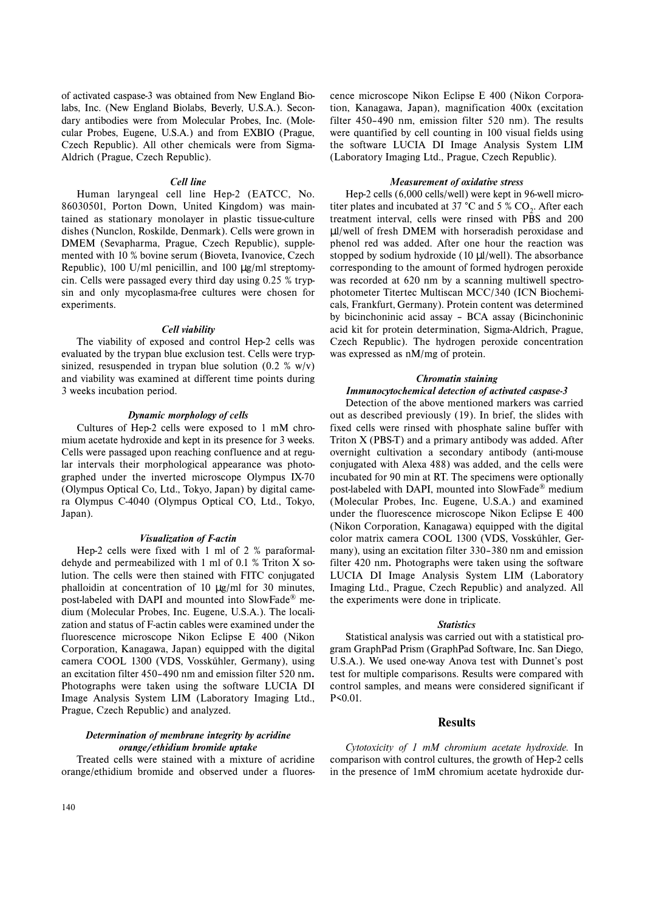of activated caspase-3 was obtained from New England Biolabs, Inc. (New England Biolabs, Beverly, U.S.A.). Secondary antibodies were from Molecular Probes, Inc. (Molecular Probes, Eugene, U.S.A.) and from EXBIO (Prague, Czech Republic). All other chemicals were from Sigma-Aldrich (Prague, Czech Republic).

#### *Cell line*

Human laryngeal cell line Hep-2 (EATCC, No. 86030501, Porton Down, United Kingdom) was maintained as stationary monolayer in plastic tissue-culture dishes (Nunclon, Roskilde, Denmark). Cells were grown in DMEM (Sevapharma, Prague, Czech Republic), supplemented with 10 % bovine serum (Bioveta, Ivanovice, Czech Republic), 100 U/ml penicillin, and 100  $\mu$ g/ml streptomycin. Cells were passaged every third day using 0.25 % trypsin and only mycoplasma-free cultures were chosen for experiments.

#### *Cell viability*

The viability of exposed and control Hep-2 cells was evaluated by the trypan blue exclusion test. Cells were trypsinized, resuspended in trypan blue solution  $(0.2 \times w/v)$ and viability was examined at different time points during 3 weeks incubation period.

## *Dynamic morphology of cells*

Cultures of Hep-2 cells were exposed to 1 mM chromium acetate hydroxide and kept in its presence for 3 weeks. Cells were passaged upon reaching confluence and at regular intervals their morphological appearance was photographed under the inverted microscope Olympus IX-70 (Olympus Optical Co, Ltd., Tokyo, Japan) by digital camera Olympus C-4040 (Olympus Optical CO, Ltd., Tokyo, Japan).

#### *Visualization of F-actin*

Hep-2 cells were fixed with 1 ml of 2 % paraformaldehyde and permeabilized with 1 ml of 0.1 % Triton X solution. The cells were then stained with FITC conjugated phalloidin at concentration of 10 µg/ml for 30 minutes, post-labeled with DAPI and mounted into SlowFade® medium (Molecular Probes, Inc. Eugene, U.S.A.). The localization and status of F-actin cables were examined under the fluorescence microscope Nikon Eclipse E 400 (Nikon Corporation, Kanagawa, Japan) equipped with the digital camera COOL 1300 (VDS, Vosskűhler, Germany), using an excitation filter 450–490 nm and emission filter 520 nm**.** Photographs were taken using the software LUCIA DI Image Analysis System LIM (Laboratory Imaging Ltd., Prague, Czech Republic) and analyzed.

## *Determination of membrane integrity by acridine orange/ethidium bromide uptake*

Treated cells were stained with a mixture of acridine orange/ethidium bromide and observed under a fluores-

cence microscope Nikon Eclipse E 400 (Nikon Corporation, Kanagawa, Japan), magnification 400x (excitation filter 450–490 nm, emission filter 520 nm). The results were quantified by cell counting in 100 visual fields using the software LUCIA DI Image Analysis System LIM (Laboratory Imaging Ltd., Prague, Czech Republic).

## *Measurement of oxidative stress*

Hep-2 cells (6,000 cells/well) were kept in 96-well microtiter plates and incubated at 37 °C and 5 %  $CO<sub>2</sub>$ . After each treatment interval, cells were rinsed with PBS and 200 µl/well of fresh DMEM with horseradish peroxidase and phenol red was added. After one hour the reaction was stopped by sodium hydroxide (10 µl/well). The absorbance corresponding to the amount of formed hydrogen peroxide was recorded at 620 nm by a scanning multiwell spectrophotometer Titertec Multiscan MCC/340 (ICN Biochemicals, Frankfurt, Germany). Protein content was determined by bicinchoninic acid assay – BCA assay (Bicinchoninic acid kit for protein determination, Sigma-Aldrich, Prague, Czech Republic). The hydrogen peroxide concentration was expressed as nM/mg of protein.

## *Chromatin staining*

## *Immunocytochemical detection of activated caspase-3*

Detection of the above mentioned markers was carried out as described previously (19). In brief, the slides with fixed cells were rinsed with phosphate saline buffer with Triton X (PBS-T) and a primary antibody was added. After overnight cultivation a secondary antibody (anti-mouse conjugated with Alexa 488) was added, and the cells were incubated for 90 min at RT. The specimens were optionally post-labeled with DAPI, mounted into SlowFade® medium (Molecular Probes, Inc. Eugene, U.S.A.) and examined under the fluorescence microscope Nikon Eclipse E 400 (Nikon Corporation, Kanagawa) equipped with the digital color matrix camera COOL 1300 (VDS, Vosskűhler, Germany), using an excitation filter 330–380 nm and emission filter 420 nm**.** Photographs were taken using the software LUCIA DI Image Analysis System LIM (Laboratory Imaging Ltd., Prague, Czech Republic) and analyzed. All the experiments were done in triplicate.

#### *Statistics*

Statistical analysis was carried out with a statistical program GraphPad Prism (GraphPad Software, Inc. San Diego, U.S.A.). We used one-way Anova test with Dunnet's post test for multiple comparisons. Results were compared with control samples, and means were considered significant if P<0.01.

## **Results**

*Cytotoxicity of 1 mM chromium acetate hydroxide.* In comparison with control cultures, the growth of Hep-2 cells in the presence of 1mM chromium acetate hydroxide dur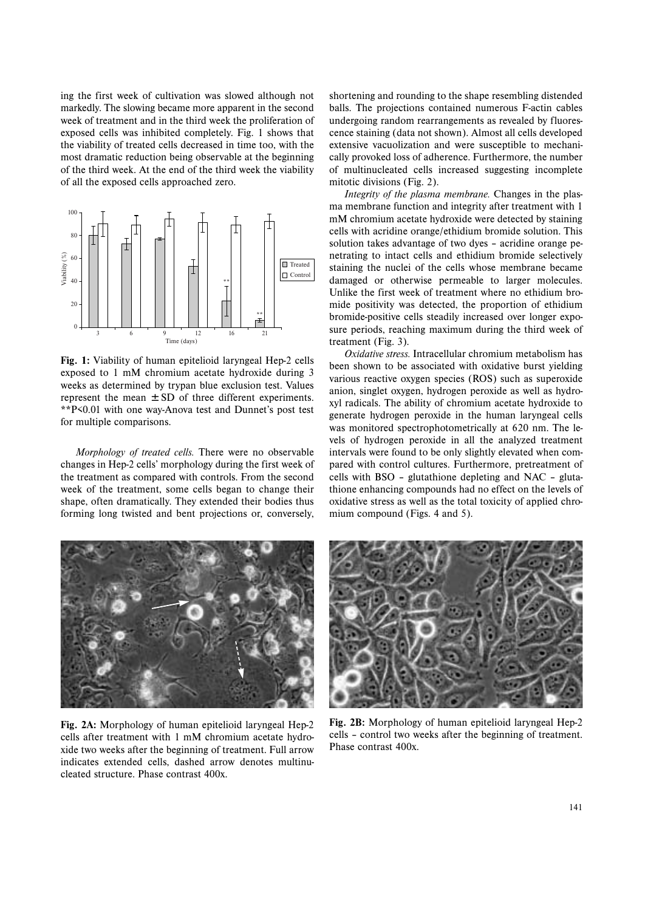ing the first week of cultivation was slowed although not markedly. The slowing became more apparent in the second week of treatment and in the third week the proliferation of exposed cells was inhibited completely. Fig. 1 shows that the viability of treated cells decreased in time too, with the most dramatic reduction being observable at the beginning of the third week. At the end of the third week the viability of all the exposed cells approached zero.



**Fig. 1:** Viability of human epitelioid laryngeal Hep-2 cells exposed to 1 mM chromium acetate hydroxide during 3 weeks as determined by trypan blue exclusion test. Values represent the mean  $\pm$  SD of three different experiments. \*\*P<0.01 with one way-Anova test and Dunnet's post test for multiple comparisons.

*Morphology of treated cells.* There were no observable changes in Hep-2 cells' morphology during the first week of the treatment as compared with controls. From the second week of the treatment, some cells began to change their shape, often dramatically. They extended their bodies thus forming long twisted and bent projections or, conversely,

shortening and rounding to the shape resembling distended balls. The projections contained numerous F-actin cables undergoing random rearrangements as revealed by fluorescence staining (data not shown). Almost all cells developed extensive vacuolization and were susceptible to mechanically provoked loss of adherence. Furthermore, the number of multinucleated cells increased suggesting incomplete mitotic divisions (Fig. 2).

*Integrity of the plasma membrane.* Changes in the plasma membrane function and integrity after treatment with 1 mM chromium acetate hydroxide were detected by staining cells with acridine orange/ethidium bromide solution. This solution takes advantage of two dyes – acridine orange penetrating to intact cells and ethidium bromide selectively staining the nuclei of the cells whose membrane became damaged or otherwise permeable to larger molecules. Unlike the first week of treatment where no ethidium bromide positivity was detected, the proportion of ethidium bromide-positive cells steadily increased over longer exposure periods, reaching maximum during the third week of treatment (Fig. 3).

*Oxidative stress.* Intracellular chromium metabolism has been shown to be associated with oxidative burst yielding various reactive oxygen species (ROS) such as superoxide anion, singlet oxygen, hydrogen peroxide as well as hydroxyl radicals. The ability of chromium acetate hydroxide to generate hydrogen peroxide in the human laryngeal cells was monitored spectrophotometrically at 620 nm. The levels of hydrogen peroxide in all the analyzed treatment intervals were found to be only slightly elevated when compared with control cultures. Furthermore, pretreatment of cells with BSO – glutathione depleting and NAC – glutathione enhancing compounds had no effect on the levels of oxidative stress as well as the total toxicity of applied chromium compound (Figs. 4 and 5).



**Fig. 2A:** Morphology of human epitelioid laryngeal Hep-2 cells after treatment with 1 mM chromium acetate hydroxide two weeks after the beginning of treatment. Full arrow indicates extended cells, dashed arrow denotes multinucleated structure. Phase contrast 400x.



**Fig. 2B:** Morphology of human epitelioid laryngeal Hep-2 cells – control two weeks after the beginning of treatment. Phase contrast 400x.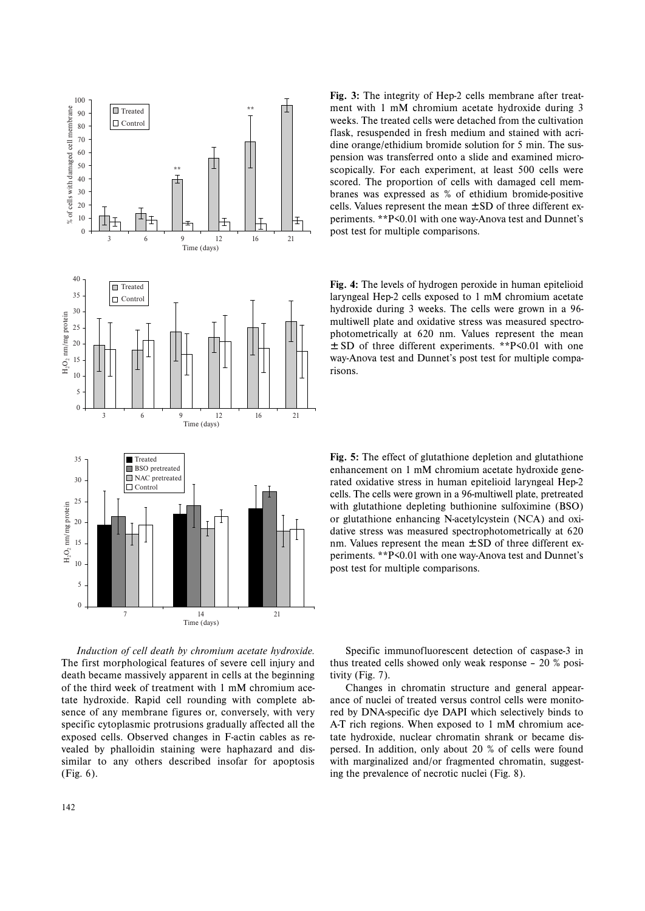

**Fig. 3:** The integrity of Hep-2 cells membrane after treatment with 1 mM chromium acetate hydroxide during 3 weeks. The treated cells were detached from the cultivation flask, resuspended in fresh medium and stained with acridine orange/ethidium bromide solution for 5 min. The suspension was transferred onto a slide and examined microscopically. For each experiment, at least 500 cells were scored. The proportion of cells with damaged cell membranes was expressed as % of ethidium bromide-positive cells. Values represent the mean  $\pm$  SD of three different experiments. \*\*P<0.01 with one way-Anova test and Dunnet's post test for multiple comparisons.

**Fig. 4:** The levels of hydrogen peroxide in human epitelioid laryngeal Hep-2 cells exposed to 1 mM chromium acetate hydroxide during 3 weeks. The cells were grown in a 96 multiwell plate and oxidative stress was measured spectrophotometrically at 620 nm. Values represent the mean  $\pm$  SD of three different experiments. \*\*P $\leq 0.01$  with one way-Anova test and Dunnet's post test for multiple comparisons.



*Induction of cell death by chromium acetate hydroxide.* The first morphological features of severe cell injury and death became massively apparent in cells at the beginning of the third week of treatment with 1 mM chromium acetate hydroxide. Rapid cell rounding with complete absence of any membrane figures or, conversely, with very specific cytoplasmic protrusions gradually affected all the exposed cells. Observed changes in F-actin cables as revealed by phalloidin staining were haphazard and dissimilar to any others described insofar for apoptosis (Fig. 6).

Specific immunofluorescent detection of caspase-3 in thus treated cells showed only weak response – 20 % positivity (Fig. 7).

Changes in chromatin structure and general appearance of nuclei of treated versus control cells were monitored by DNA-specific dye DAPI which selectively binds to A-T rich regions. When exposed to 1 mM chromium acetate hydroxide, nuclear chromatin shrank or became dispersed. In addition, only about 20 % of cells were found with marginalized and/or fragmented chromatin, suggesting the prevalence of necrotic nuclei (Fig. 8).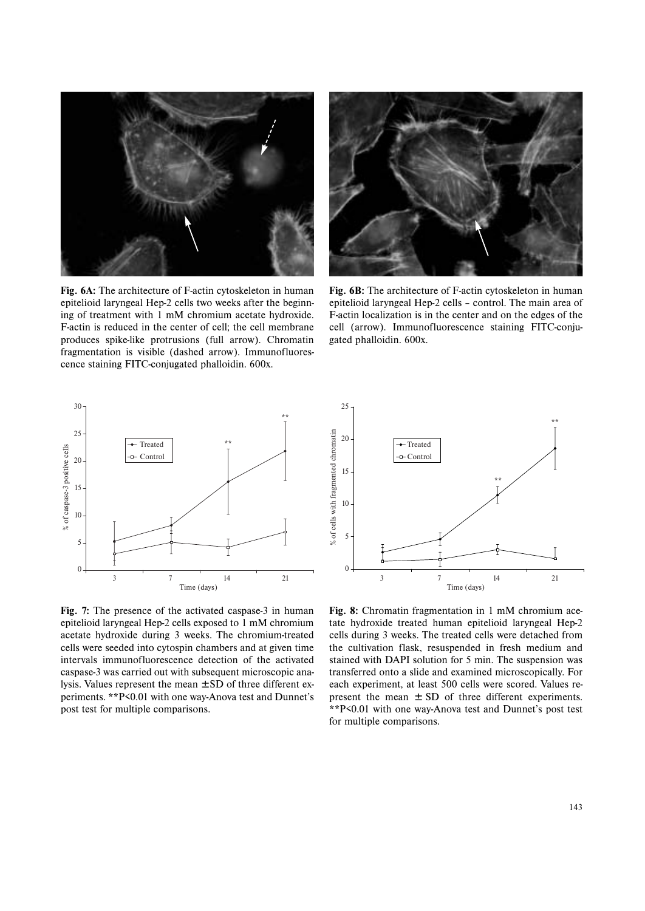

**Fig. 6A:** The architecture of F-actin cytoskeleton in human epitelioid laryngeal Hep-2 cells two weeks after the beginning of treatment with 1 mM chromium acetate hydroxide. F-actin is reduced in the center of cell; the cell membrane produces spike-like protrusions (full arrow). Chromatin fragmentation is visible (dashed arrow). Immunofluorescence staining FITC-conjugated phalloidin. 600x.



**Fig. 6B:** The architecture of F-actin cytoskeleton in human epitelioid laryngeal Hep-2 cells – control. The main area of F-actin localization is in the center and on the edges of the cell (arrow). Immunofluorescence staining FITC-conjugated phalloidin. 600x.



**Fig. 7:** The presence of the activated caspase-3 in human epitelioid laryngeal Hep-2 cells exposed to 1 mM chromium acetate hydroxide during 3 weeks. The chromium-treated cells were seeded into cytospin chambers and at given time intervals immunofluorescence detection of the activated caspase-3 was carried out with subsequent microscopic analysis. Values represent the mean ± SD of three different experiments. \*\*P<0.01 with one way-Anova test and Dunnet's post test for multiple comparisons.



**Fig. 8:** Chromatin fragmentation in 1 mM chromium acetate hydroxide treated human epitelioid laryngeal Hep-2 cells during 3 weeks. The treated cells were detached from the cultivation flask, resuspended in fresh medium and stained with DAPI solution for 5 min. The suspension was transferred onto a slide and examined microscopically. For each experiment, at least 500 cells were scored. Values represent the mean  $\pm$  SD of three different experiments. \*\*P<0.01 with one way-Anova test and Dunnet's post test for multiple comparisons.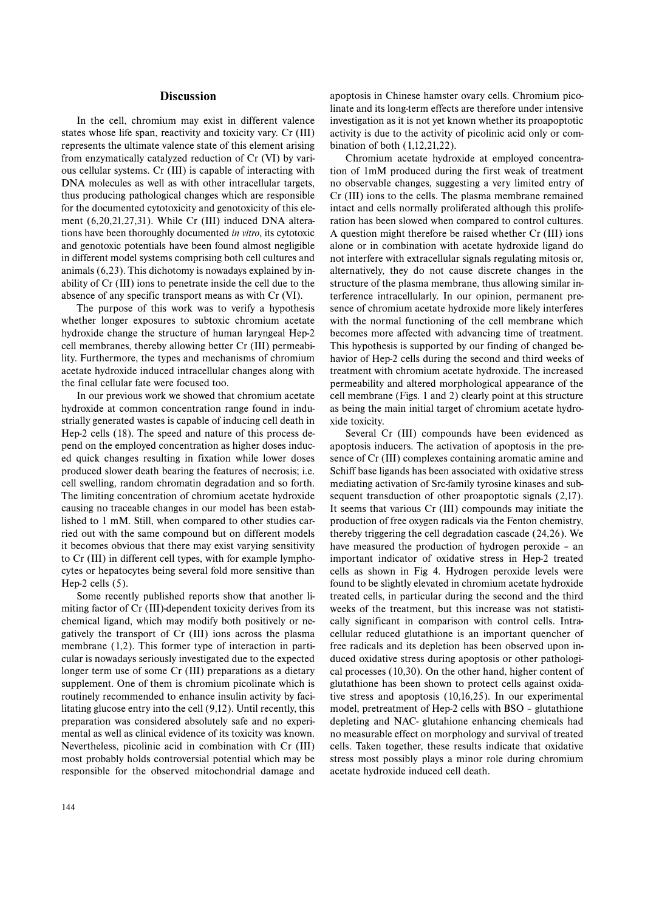## **Discussion**

In the cell, chromium may exist in different valence states whose life span, reactivity and toxicity vary. Cr (III) represents the ultimate valence state of this element arising from enzymatically catalyzed reduction of Cr (VI) by various cellular systems. Cr (III) is capable of interacting with DNA molecules as well as with other intracellular targets, thus producing pathological changes which are responsible for the documented cytotoxicity and genotoxicity of this element (6,20,21,27,31). While Cr (III) induced DNA alterations have been thoroughly documented *in vitro*, its cytotoxic and genotoxic potentials have been found almost negligible in different model systems comprising both cell cultures and animals (6,23). This dichotomy is nowadays explained by inability of Cr (III) ions to penetrate inside the cell due to the absence of any specific transport means as with Cr (VI).

The purpose of this work was to verify a hypothesis whether longer exposures to subtoxic chromium acetate hydroxide change the structure of human laryngeal Hep-2 cell membranes, thereby allowing better Cr (III) permeability. Furthermore, the types and mechanisms of chromium acetate hydroxide induced intracellular changes along with the final cellular fate were focused too.

In our previous work we showed that chromium acetate hydroxide at common concentration range found in industrially generated wastes is capable of inducing cell death in Hep-2 cells (18). The speed and nature of this process depend on the employed concentration as higher doses induced quick changes resulting in fixation while lower doses produced slower death bearing the features of necrosis; i.e. cell swelling, random chromatin degradation and so forth. The limiting concentration of chromium acetate hydroxide causing no traceable changes in our model has been established to 1 mM. Still, when compared to other studies carried out with the same compound but on different models it becomes obvious that there may exist varying sensitivity to Cr (III) in different cell types, with for example lymphocytes or hepatocytes being several fold more sensitive than Hep-2 cells (5).

Some recently published reports show that another limiting factor of Cr (III)-dependent toxicity derives from its chemical ligand, which may modify both positively or negatively the transport of Cr (III) ions across the plasma membrane (1,2). This former type of interaction in particular is nowadays seriously investigated due to the expected longer term use of some Cr (III) preparations as a dietary supplement. One of them is chromium picolinate which is routinely recommended to enhance insulin activity by facilitating glucose entry into the cell (9,12). Until recently, this preparation was considered absolutely safe and no experimental as well as clinical evidence of its toxicity was known. Nevertheless, picolinic acid in combination with Cr (III) most probably holds controversial potential which may be responsible for the observed mitochondrial damage and apoptosis in Chinese hamster ovary cells. Chromium picolinate and its long-term effects are therefore under intensive investigation as it is not yet known whether its proapoptotic activity is due to the activity of picolinic acid only or combination of both (1,12,21,22).

Chromium acetate hydroxide at employed concentration of 1mM produced during the first weak of treatment no observable changes, suggesting a very limited entry of Cr (III) ions to the cells. The plasma membrane remained intact and cells normally proliferated although this proliferation has been slowed when compared to control cultures. A question might therefore be raised whether Cr (III) ions alone or in combination with acetate hydroxide ligand do not interfere with extracellular signals regulating mitosis or, alternatively, they do not cause discrete changes in the structure of the plasma membrane, thus allowing similar interference intracellularly. In our opinion, permanent presence of chromium acetate hydroxide more likely interferes with the normal functioning of the cell membrane which becomes more affected with advancing time of treatment. This hypothesis is supported by our finding of changed behavior of Hep-2 cells during the second and third weeks of treatment with chromium acetate hydroxide. The increased permeability and altered morphological appearance of the cell membrane (Figs. 1 and 2) clearly point at this structure as being the main initial target of chromium acetate hydroxide toxicity.

Several Cr (III) compounds have been evidenced as apoptosis inducers. The activation of apoptosis in the presence of Cr (III) complexes containing aromatic amine and Schiff base ligands has been associated with oxidative stress mediating activation of Src-family tyrosine kinases and subsequent transduction of other proapoptotic signals (2,17). It seems that various Cr (III) compounds may initiate the production of free oxygen radicals via the Fenton chemistry, thereby triggering the cell degradation cascade (24,26). We have measured the production of hydrogen peroxide – an important indicator of oxidative stress in Hep-2 treated cells as shown in Fig 4. Hydrogen peroxide levels were found to be slightly elevated in chromium acetate hydroxide treated cells, in particular during the second and the third weeks of the treatment, but this increase was not statistically significant in comparison with control cells. Intracellular reduced glutathione is an important quencher of free radicals and its depletion has been observed upon induced oxidative stress during apoptosis or other pathological processes (10,30). On the other hand, higher content of glutathione has been shown to protect cells against oxidative stress and apoptosis (10,16,25). In our experimental model, pretreatment of Hep-2 cells with BSO – glutathione depleting and NAC- glutahione enhancing chemicals had no measurable effect on morphology and survival of treated cells. Taken together, these results indicate that oxidative stress most possibly plays a minor role during chromium acetate hydroxide induced cell death.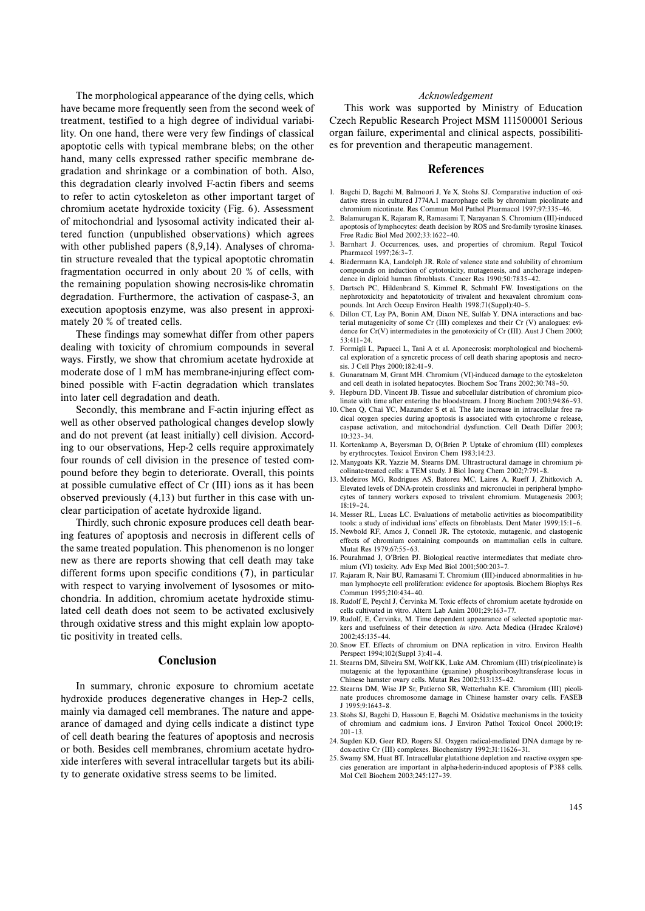The morphological appearance of the dying cells, which have became more frequently seen from the second week of treatment, testified to a high degree of individual variability. On one hand, there were very few findings of classical apoptotic cells with typical membrane blebs; on the other hand, many cells expressed rather specific membrane degradation and shrinkage or a combination of both. Also, this degradation clearly involved F-actin fibers and seems to refer to actin cytoskeleton as other important target of chromium acetate hydroxide toxicity (Fig. 6). Assessment of mitochondrial and lysosomal activity indicated their altered function (unpublished observations) which agrees with other published papers  $(8,9,14)$ . Analyses of chromatin structure revealed that the typical apoptotic chromatin fragmentation occurred in only about 20 % of cells, with the remaining population showing necrosis-like chromatin degradation. Furthermore, the activation of caspase-3, an execution apoptosis enzyme, was also present in approximately 20 % of treated cells.

These findings may somewhat differ from other papers dealing with toxicity of chromium compounds in several ways. Firstly, we show that chromium acetate hydroxide at moderate dose of 1 mM has membrane-injuring effect combined possible with F-actin degradation which translates into later cell degradation and death.

Secondly, this membrane and F-actin injuring effect as well as other observed pathological changes develop slowly and do not prevent (at least initially) cell division. According to our observations, Hep-2 cells require approximately four rounds of cell division in the presence of tested compound before they begin to deteriorate. Overall, this points at possible cumulative effect of Cr (III) ions as it has been observed previously (4,13) but further in this case with unclear participation of acetate hydroxide ligand.

Thirdly, such chronic exposure produces cell death bearing features of apoptosis and necrosis in different cells of the same treated population. This phenomenon is no longer new as there are reports showing that cell death may take different forms upon specific conditions (**7**), in particular with respect to varying involvement of lysosomes or mitochondria. In addition, chromium acetate hydroxide stimulated cell death does not seem to be activated exclusively through oxidative stress and this might explain low apoptotic positivity in treated cells.

## **Conclusion**

In summary, chronic exposure to chromium acetate hydroxide produces degenerative changes in Hep-2 cells, mainly via damaged cell membranes. The nature and appearance of damaged and dying cells indicate a distinct type of cell death bearing the features of apoptosis and necrosis or both. Besides cell membranes, chromium acetate hydroxide interferes with several intracellular targets but its ability to generate oxidative stress seems to be limited.

#### *Acknowledgement*

This work was supported by Ministry of Education Czech Republic Research Project MSM 111500001 Serious organ failure, experimental and clinical aspects, possibilities for prevention and therapeutic management.

## **References**

- 1. Bagchi D, Bagchi M, Balmoori J, Ye X, Stohs SJ. Comparative induction of oxidative stress in cultured J774A.1 macrophage cells by chromium picolinate and chromium nicotinate. Res Commun Mol Pathol Pharmacol 1997;97:335–46.
- 2. Balamurugan K, Rajaram R, Ramasami T, Narayanan S. Chromium (III)-induced apoptosis of lymphocytes: death decision by ROS and Src-family tyrosine kinases. Free Radic Biol Med 2002;33:1622–40.
- 3. Barnhart J. Occurrences, uses, and properties of chromium. Regul Toxicol Pharmacol 1997;26:3–7.
- 4. Biedermann KA, Landolph JR. Role of valence state and solubility of chromium compounds on induction of cytotoxicity, mutagenesis, and anchorage independence in diploid human fibroblasts. Cancer Res 1990;50:7835–42.
- 5. Dartsch PC, Hildenbrand S, Kimmel R, Schmahl FW. Investigations on the nephrotoxicity and hepatotoxicity of trivalent and hexavalent chromium compounds. Int Arch Occup Environ Health 1998;71(Suppl):40–5.
- 6. Dillon CT, Lay PA, Bonin AM, Dixon NE, Sulfab Y. DNA interactions and bacterial mutagenicity of some Cr (III) complexes and their Cr (V) analogues: evidence for Cr(V) intermediates in the genotoxicity of Cr (III). Aust J Chem 2000; 53:411–24.
- 7. Formigli L, Papucci L, Tani A et al. Aponecrosis: morphological and biochemical exploration of a syncretic process of cell death sharing apoptosis and necrosis. J Cell Phys 2000;182:41–9.
- 8. Gunaratnam M, Grant MH. Chromium (VI)-induced damage to the cytoskeleton and cell death in isolated hepatocytes. Biochem Soc Trans 2002;30:748–50.
- 9. Hepburn DD, Vincent JB. Tissue and subcellular distribution of chromium picolinate with time after entering the bloodstream. J Inorg Biochem 2003;94:86–93.
- 10. Chen Q, Chai YC, Mazumder S et al. The late increase in intracellular free radical oxygen species during apoptosis is associated with cytochrome c release, caspase activation, and mitochondrial dysfunction. Cell Death Differ 2003;  $10.323 - 34$
- 11. Kortenkamp A, Beyersman D, O(Brien P. Uptake of chromium (III) complexes by erythrocytes. Toxicol Environ Chem 1983;14:23.
- 12. Manygoats KR, Yazzie M, Stearns DM. Ultrastructural damage in chromium picolinate-treated cells: a TEM study. J Biol Inorg Chem 2002;7:791–8.
- 13. Medeiros MG, Rodrigues AS, Batoreu MC, Laires A, Rueff J, Zhitkovich A. Elevated levels of DNA-protein crosslinks and micronuclei in peripheral lymphocytes of tannery workers exposed to trivalent chromium. Mutagenesis 2003;  $18.19 - 24$
- 14. Messer RL, Lucas LC. Evaluations of metabolic activities as biocompatibility tools: a study of individual ions' effects on fibroblasts. Dent Mater 1999;15:1–6.
- 15. Newbold RF, Amos J, Connell JR. The cytotoxic, mutagenic, and clastogenic effects of chromium containing compounds on mammalian cells in culture. Mutat Res 1979;67:55–63.
- 16. Pourahmad J, O'Brien PJ. Biological reactive intermediates that mediate chromium (VI) toxicity. Adv Exp Med Biol 2001;500:203–7.
- 17. Rajaram R, Nair BU, Ramasami T. Chromium (III)-induced abnormalities in human lymphocyte cell proliferation: evidence for apoptosis. Biochem Biophys Res Commun 1995;210:434–40.
- 18. Rudolf E, Peychl J, Červinka M. Toxic effects of chromium acetate hydroxide on cells cultivated in vitro. Altern Lab Anim 2001;29:163–77.
- 19. Rudolf, E, Červinka, M. Time dependent appearance of selected apoptotic markers and usefulness of their detection *in vitro*. Acta Medica (Hradec Králové) 2002;45:135–44.
- 20. Snow ET. Effects of chromium on DNA replication in vitro. Environ Health Perspect 1994;102(Suppl 3):41–4.
- 21. Stearns DM, Silveira SM, Wolf KK, Luke AM. Chromium (III) tris(picolinate) is mutagenic at the hypoxanthine (guanine) phosphoribosyltransferase locus in Chinese hamster ovary cells. Mutat Res 2002;513:135–42.
- 22. Stearns DM, Wise JP Sr, Patierno SR, Wetterhahn KE. Chromium (III) picolinate produces chromosome damage in Chinese hamster ovary cells. FASEB J 1995;9:1643–8.
- 23. Stohs SJ, Bagchi D, Hassoun E, Bagchi M. Oxidative mechanisms in the toxicity of chromium and cadmium ions. J Environ Pathol Toxicol Oncol 2000;19: 201–13.
- 24. Sugden KD, Geer RD, Rogers SJ. Oxygen radical-mediated DNA damage by redox-active Cr (III) complexes. Biochemistry 1992;31:11626–31.
- 25. Swamy SM, Huat BT. Intracellular glutathione depletion and reactive oxygen species generation are important in alpha-hederin-induced apoptosis of P388 cells. Mol Cell Biochem 2003;245:127–39.